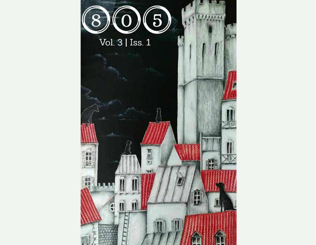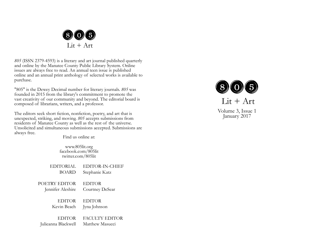

*805* (ISSN 2379-4593) is a literary and art journal published quarterly and online by the Manatee County Public Library System. Online issues are always free to read. An annual teen issue is published online and an annual print anthology of selected works is available to purchase.

"805" is the Dewey Decimal number for literary journals. *805* was founded in 2015 from the library's commitment to promote the vast creativity of our community and beyond. The editorial board is composed of librarians, writers, and a professor.

The editors seek short fiction, nonfiction, poetry, and art that is unexpected, striking, and moving. *805* accepts submissions from residents of Manatee County as well as the rest of the universe. Unsolicited and simultaneous submissions accepted. Submissions are always free.

Find us online at:

www.805lit.org facebook.com/805lit twitter.com/805lit

| <b>EDITORIAL</b>    | EDITOR-IN-CHIEF       |
|---------------------|-----------------------|
| BOARD               | Stephanie Katz        |
| POETRY EDITOR       | <b>EDITOR</b>         |
| Jennifer Aleshire   | Courtney DeSear       |
| <b>EDITOR</b>       | <b>EDITOR</b>         |
| Kevin Beach         | Jyna Johnson          |
| <b>EDITOR</b>       | <b>FACULTY EDITOR</b> |
| Julieanna Blackwell | Matthew Masucci       |



 $Lit + Art$ 

Volume 3, Issue 1 January 2017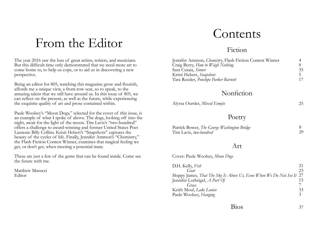### From the Editor

The year 2016 saw the loss of great artists, writers, and musicians. But this difficult time only demonstrated that we need more art to come home to, to help us cope, or to aid us in discovering a new perspective.

Being an editor for 805, watching this magazine grow and flourish, affords me a unique view, a front-row seat, so to speak, to the amazing talent that we still have around us. In this issue of 805, we can reflect on the present, as well as the future, while experiencing the exquisite quality of art and prose contained within.

Paule Woolsey's "Moon Dogs," selected for the cover of this issue, is an example of what I spoke of above. The dogs, looking off into the night, await for the light of the moon. Tim Lavis's "two-hundred" offers a challenge to award-winning and former United States Poet Laureate Billy Collins. Kristi Hebert's "Snapshots" captures the beauty of the cycles of life. Finally, Jennifer Ammon's "Chemistry," the Flash Fiction Contest Winner, examines that magical feeling we get, or don't get, when meeting a potential mate.

These are just a few of the gems that can be found inside. Come see the future with me.

Matthew Masucci Editor

## Contents

#### Fiction

| Jennifer Ammon, Chemistry, Flash Fiction Contest Winner |    |
|---------------------------------------------------------|----|
| Craig Berry, How to Weigh Nothing                       |    |
| Sara Cutaia, Sinner                                     | 35 |
| Kristi Hebert, Snapshots                                |    |
| Tara Roeder, Penelope Parker Barnett                    | 17 |
|                                                         |    |

#### Nonfiction

| Alyssa Oursler, Mixed Emojis |  |
|------------------------------|--|
|                              |  |

#### Poetry

| Patrick Bower, The George Washington Bridge |  |
|---------------------------------------------|--|
| Tim Lavis, two-hundred                      |  |

#### Art

Cover: Paule Woolsey, *Moon Dogs*

| D.H. Kelly, <i>Fish</i>                                               | 21 |
|-----------------------------------------------------------------------|----|
| G                                                                     | 23 |
| Sloppy James, That The Sky Is Above Us, Even When We Do Not See It 27 |    |
| Jennifer Lothrigel, A Part Of                                         | 15 |
| Grace                                                                 |    |
| Keith Moul, <i>Lake Louise</i>                                        | 33 |
| Paule Woolsey, Hanging                                                | 3  |
|                                                                       |    |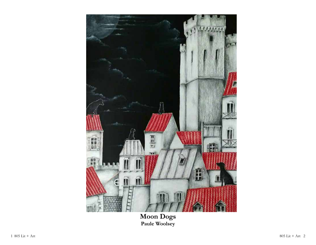

**Moon Dogs Paule Woolsey**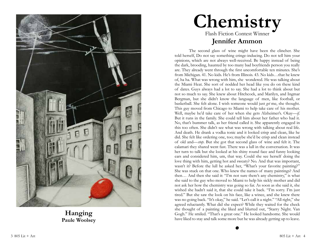

## **Chemistry** Flash Fiction Contest Winner **Jennifer Ammon**

The second glass of wine might have been the clincher. She told herself, Do not say something cringe-inducing. Do not tell him your opinions, which are not always well-received. Be happy instead of being the dark, brooding, haunted by too many bad boyfriends person you really are. They already went through the first uncomfortable ten minutes. She's from Michigan. 41. No kids. He's from Illinois. 43. No kids…that he knew of, ha ha. What was wrong with him, she wondered. He was talking about the Miami Heat. She sort of nodded her head like you do on these kind of dates. Guys always had a lot to say. She had a lot to think about but not so much to say. She knew about Hitchcock, and Marilyn, and Ingmar Bergman, but she didn't know the language of men, like football, or basketball. She felt alone. I wish someone would just *get* me, she thought. This guy moved from Chicago to Miami to help take care of his mother. Well, maybe he'd take care of her when she gets Alzheimer's. Okay—*if*. But it runs in the family. She could tell him about her father who had it. No, that's bummer talk, as her friend called it. She apparently engaged in this too often. She didn't see what was wrong with talking about real life. And death. He drank a vodka tonic and it looked crisp and clean, like he did. She felt like ordering one, too; maybe she'd be crisp and clean instead of old and—*stop*. But she got that second glass of wine and felt it. The calamari they shared went fast. There was a lull in the conversation. It was her turn to talk but she looked at his shiny round face and funny looking ears and considered him, um, that way. Could she see herself doing the love thing with him, getting hot and sweaty? No. And that was important, wasn't it? Before the lull he asked her, "What's your favorite painting?" She was stuck on that one. Who knew the names of many paintings? And then… And then she said it: "I'm not sure there's any chemistry," is what she said to the guy who moved to Miami to help his sickly mother and did not ask her how the chemistry was going so far. As soon as she said it, she wished she hadn't said it, that she could take it back. "I'm sorry. I'm just tired." But she saw the look on his face, like a wince, and she knew there was no going back. "It's okay," he said. "Let's call it a night." "All right," she agreed reluctantly. What did she expect? While they waited for the check she thought of a painting she liked and blurted out, "Starry Night. Van Gogh." He smiled. "That's a great one." He looked handsome. She would have liked to stay and talk some more but he was already getting up to leave.

 $\bullet$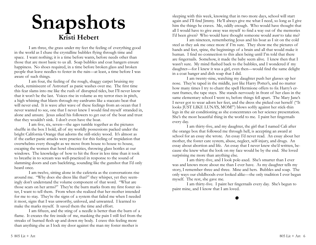## **Snapshots Kristi Hebert**

I am three, the grass under my feet the feeling of everything good in the world as I chase the crystalline bubbles flying through time and space. I want nothing; it is a time before wants, before needs other than those that are most basic to us all. Soap bubbles and coat hangers ensure happiness. No shoes required, in a time before broken glass and broken people that leave needles to fester in the rain—at least, a time before I was aware of such things.

I am four, the feeling of the rough, shaggy carpet bruising my cheek, reminiscent of Astroturf as panic washes over me. The first time this fear slams into me like the rush of disrupted tides, but I'll never know that it won't be the last. Voices rise in volume as my terror rises in pitch, a high whining that blasts through my eardrums like a staccato beat that will never end. It is wave after wave of these feelings from an ocean that I never wanted to see, one that I never knew I would find myself stranded in, alone and unsure. Jesus asked his followers to get out of the boat and trust that they wouldn't sink. I don't even have the boat.

I am five, six, seven—the ages tumble together as the pictures shuffle in the box I hold, all of my worldly possessions packed under the bright California Orange that adorns the still-sticky wood. It's almost as if the earlier panic attacks were practice for this feeling of trepidation that overwhelms every thought as we move from house to house to house, escaping the women that howl obscenities, throwing glass bottles at our windows. The knowledge of how to hit the floor in less time than it took to breathe in to scream was well-practiced in response to the sound of slamming doors and cars backfiring, sounding like the gunshot that I'd only heard once.

I am twelve, sitting alone in the cafeteria as the conversations rise around me. "Why does she dress like that?" they whisper, yet they seemingly don't understand the volume component of that word. "What are those scars on her arms?" They're the burn marks from my first foster sister, I want to tell them. From when she realized that her mother intended for me to stay. They're the signs of a system that failed me when I needed it most, signs that I was unworthy, unloved, and unwanted. I learned to make the marks myself. It saved them the time and effort.

I am fifteen, and the sting of a needle is better than the burn of a flame. It creates the fire inside of me, masking the pain I still feel from the streaks of burned flesh up and down my body. I crave this feeling more than anything else as I lock my door against the man my foster mother is

sleeping with this week, knowing that in two more days, school will start again and I'll find Jimmy. He'll always give me what I need, so long as I give him the things he craves. Me, oddly enough. Who would have thought that all I would have to give away was myself to find a way out of the memories I'd been given? Who would have thought someone would *want* to take me?

I am nineteen, remembering Jesus and his boat as I sit on the cold steel as they ask me once more if I'm sure. They show me the pictures of hands and feet, spine, the beginnings of a brain and all that would make it human. I find no connection to this alien being until I'm told that there are fingernails. Somehow, it made the baby seem alive. I knew then that I wasn't sure. My mind flashed back to the bubbles, and I wondered if my daughter—for I knew it was a girl, even then—would find the same delight in a coat hanger and dish soap that I did.

I am twenty-nine, watching my daughter push her glasses up her nose. They're taped in the middle, just like Harry Potter's, and no matter how many times I try to chant the spell Hermione offers to fix Harry's errant frames, the tape stays. She stands nervously in front of her class in the same elementary school I went to, before things fell apart. The Mary Jane's I never got to wear adorn her feet, and the dress she picked out herself ("It looks JUST LIKE LUNA'S, MOM!") blows softly against her stick-thin legs in the air conditioning as she concentrates on her science presentation. She's the most beautiful thing in the world to me. I paint her fingernails every day.

I am thirty-five, and my daughter, the girl that I named Cali after the orange box that followed me through hell, is accepting an award at school for an essay she wrote. An essay I'd never read. An essay about her mother, the foster care system, abuse, neglect, self-injury, and drugs. An essay about abortion and life. An essay that I never knew she'd written, because she knew what the look on my face would be by the end. She loved surprising me more than anything else.

I am thirty-five, and I look pole-axed. She's smarter than I ever was and knows more about me than I ever have. As my daughter tells my story, I remember three and three. Mine and hers. Bubbles and soap. The only ways our childhoods ever looked alike—the only tradition I ever began myself. The rest, she gave me.

I am thirty-five. I paint her fingernails every day. She's begun to paint mine, and I know that I am loved.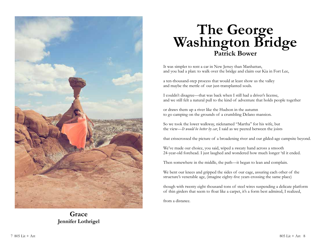

**Grace Jennifer Lothrigel**

## **The George Washington Bridge Patrick Bower**

It was simpler to rent a car in New Jersey than Manhattan, and you had a plan: to walk over the bridge and claim our Kia in Fort Lee,

a ten-thousand-step process that would at least show us the valley and maybe the mettle of our just-transplanted souls.

I couldn't disagree—that was back when I still had a driver's license, and we still felt a natural pull to the kind of adventure that holds people together

or draws them up a river like the Hudson in the autumn to go camping on the grounds of a crumbling Delano mansion.

So we took the lower walkway, nicknamed "Martha" for his wife, but the view—*It would be better by car*, I said as we peered between the joists

that crisscrossed the picture of a broadening river and our gilded-age campsite beyond.

We've made our choice, you said, wiped a sweaty hand across a smooth 24-year-old forehead. I just laughed and wondered how much longer 'til it ended.

Then somewhere in the middle, the path—it began to lean and complain.

We bent our knees and gripped the sides of our cage, assuring each other of the structure's venerable age, (imagine eighty-five years crossing the same place)

though with twenty eight thousand tons of steel wires suspending a delicate platform of thin girders that seem to float like a carpet, it's a form best admired, I realized,

from a distance.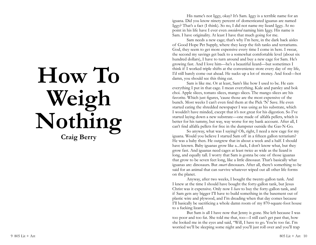# **How To Weigh Nothing Craig Berry**

His name's not Iggy, okay? It's Sam. Iggy is a terrible name for an iguana. Did you know ninety percent of domesticated iguanas are named Iggy? That's a fact (I think). So no, I did not name my lizard Iggy. At no point in his life have I ever even *considered* naming him Iggy. His name is Sam. I have originality. At least I have that much going for me.

Sam needs a new cage; that's why I'm here, in the dark back aisles of Good Hope Pet Supply, where they keep the fish tanks and terrariums. God, they seem to get more expensive every time I come in here. I swear, the second my savings get back to a somewhat comfortable level (about six hundred dollars), I have to turn around and buy a new cage for Sam. He's growing fast. And I love him—he's a beautiful lizard—but sometimes I think if I worked triple shifts at the convenience store every day of my life, I'd still barely come out ahead. He sucks up a lot of money. And food—hot damn, you should see this thing eat.

Sam is like me. Or at least, Sam's like how I used to be. He eats everything I put in that cage. I mean everything. Kale and parsley and bok choi. Apple slices, tomato slices, mango slices. The mango slices are his favorite. Which just figures, 'cause those are the most expensive of the bunch. Most weeks I can't even find them at the Pick 'N' Save. He even started eating the shredded newspaper I was using as his substrate, which I wouldn't have minded, except that it's not great for his digestion. So I've started laying down a new substrate—one made of alfalfa pellets, which is better for his tummy, but way, way worse for my bank account. After all, I can't find alfalfa pellets for free in the dumpster outside the Gas-N-Go.

So anyway, what was I saying? Oh, right, I need a new cage for my iguana. Would you believe I started Sam off in a fifteen gallon terrarium? He was a baby then. He outgrew that in about a week and a half. I should have known. Baby iguanas grow like a...fuck, I don't know what, but they grow fast. And iguanas need cages at least twice as wide as the lizard is long, and equally tall. I worry that Sam is gonna be one of those iguanas that grow to be seven feet long, like a little dinosaur. That's basically what iguanas are: dinosaurs. But *smart* dinosaurs. After all, there's something to be said for an animal that can survive whatever wiped out all other life forms on the planet.

Anyway, after two weeks, I bought the twenty-gallon tank. And I knew at the time I should have bought the forty-gallon tank, but Jesus Christ was it expensive. Only now I *have* to buy the forty-gallon tank, and if Sam gets any bigger I'll have to build something in the basement out of plastic wire and plywood, and I'm dreading when that day comes because I'll basically be sacrificing a whole damn room of my 870-square-foot house to a fucking lizard.

But Sam is all I have now that Jenny is gone. She left because I was too poor and too fat. She told me that, too—I still can't get past that, how she looked me in the eyes and said, "Will, I have to go. You're too fat. I'm worried we'll be sleeping some night and you'll just roll over and you'll trap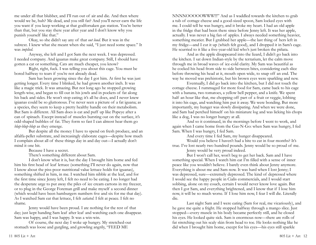me under all that blubber, and I'll run out of air and die. And then where would we be, huh? Me dead, and you still fat? And you'll never earn the life you want if you keep working at that godforsaken gas station. You're better than that, but you stay there year after year and I don't know why you punish yourself like that."

Okay, so she didn't say any of that *out loud*. But it was in the subtext. I knew what she meant when she said, "I just need some space." It was *implied*.

Anyway, she left and I got Sam the next week. I was depressed. I needed company. And iguanas make great company. Still, I should have gotten a cat or something. Cats are much cheaper, you know?

Right, right, fuck. I was telling you about this cage. You must be bored halfway to tears if you're not already dead.

Sam has been growing since the day I got him. At first he was just getting longer. Every time I blinked, he had grown another inch. It was like a magic trick. It was amazing. But not long ago he stopped growing length-wise, and began to fill out in his jowls and in pockets of fat along his back and sides. He won't stop eating; it's all he does, and I never knew iguanas could be so gluttonous. I've never seen a picture of a fat iguana; as a species, they seem to keep a pretty healthy handle on their metabolism. But Sam is different. All Sam does is eat and puff up like Popeye after a can of spinach. Except instead of muscles bursting out on the surface, it's odd-shaped bubbles of fat. They form so fast I can almost hear them go *blup-blup-blup* as they emerge.

But despite all the money I have to spend on fresh produce, and an alfalfa-pellet substrate, and increasingly elaborate cages—despite how much I complain about all of these things day in and day out—I actually don't mind it one bit.

Because I have a secret.

There's something different about Sam.

I don't know what it is, but the day I brought him home and fed him his first head of leaf lettuce (something I'll never do again, now that I know about the piss-poor nutritional value lettuce holds for iguanas), something shifted in him, in me. I watched him nibble at the leaf, and for the first time since Jenny left, I felt no need to be eating. I no longer had the desperate urge to put away the piles of ice cream cartons in my freezer, or to plug in the George Foreman grill and make myself a second dinner (which would have been hamburgers numbers five and six for me that day). As I watched Sam eat that lettuce, I felt *satiated*. I felt at peace. I felt no shame.

Jenny would have been proud. I ate nothing for the rest of that day; just kept handing Sam leaf after leaf and watching each one disappear. Sam was happy, and I was happy. It was a win-win.

Of course, the next day I woke up hungry. My stretched-out stomach was loose and gurgling, and growling angrily, "FEED ME

NNNNOOOOOWWW!!!" And as I waddled towards the kitchen to grab a tub of cottage cheese and a good-sized spoon, Sam locked eyes with me. I could tell he was hungry, and it broke my heart. I had an old apple in the fridge that had been there since before Jenny left. It was her apple, actually. I was never a big fan of apples. I always needed something heavier, something meatier. But I grabbed her apple—the last thing of hers left in my fridge—and I cut it up (which felt good), and I dropped it in Sam's cage. He scurried to it like a five-year-old kid who's just broken the piñata.

And as the apple disappeared into the lizard, I didn't go back into the kitchen. I sat down Indian-style by the terrarium, let the calm move through me in broad waves of ice-cold clarity. My Sam was beautiful as he cocked his head from side to side between bites, considering each slice before throwing his head at it, mouth open wide, to snap off an end. The way he moved was prehistoric, but his brown eyes were sparkling and new.

Eventually, I did go back into the kitchen, but I did not touch the cottage cheese. I rummaged for more food for Sam, came back to his cage with a banana, two tomatoes, a yellow bell pepper, and a knife. We spent half an hour like that, me chopping off part of a fruit or veggie, lobbing it into his cage, and watching him put it away. We were bonding. But more importantly, my hunger was slowly dissipating. And when we were done, and Sam had perched himself on his miniature log and was licking his chops like a dog, I was no longer hungry at all.

And so it continued, in the mornings before I went to work, and again when I came home from the Gas-N-Go: when Sam was hungry, I fed Sam. When I was hungry, I fed Sam.

And every time I fed Sam, my hunger disappeared.

Would you believe I haven't had a bite to eat in four months? It's true. I've lost nearly two hundred pounds. Jenny would be so proud of me. Jenny would be very proud indeed.

But I won't call her, won't beg to get her back. Sam and I have something special. When I watch him eat I'm filled with a sense of inner peace like you wouldn't believe. I barely even think about Jenny anymore. Everything is about me and Sam now. It was hard when I lost Jenny; I was depressed, sure—extremely depressed. The kind of depressed where I would see the happy people in Cialis commercials, and I would start sobbing, alone on my couch, certain I would never know love again. But then I got Sam, and everything brightened, and I know that if I lose him now, it will be so much worse. If I lose him now, I fear I will die. Literally die.

Last night Sam and I were eating (Sam for real, me vicariously), and he gave me quite a fright. He stopped halfway through a mango slice. Just stopped—every muscle in his body became perfectly still, and he closed his eyes. He looked quite sick. Sam is enormous now—there are rolls of fat stretching out his scaly skin from head to toe. He looks nothing like he did when I brought him home, except for his eyes—his eyes still sparkle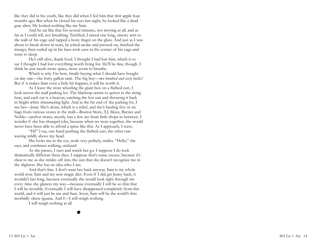like they did in his youth, like they did when I fed him that first apple four months ago. But when he closed his eyes last night, he looked like a dead gray alien. He looked nothing like my Sam.

And he sat like that for several minutes, not moving at all, and as far as I could tell, not breathing. Terrified, I raised one long, sinewy arm to the wall of his cage and tapped a bony finger on the glass. And just as I was about to break down in tears, he jolted awake and pressed on, finished the mango, then curled up in his faux-rock cave in the corner of his cage and went to sleep.

He's still alive, thank God. I thought I had lost him, which is to say I thought I had lost everything worth living for. He'll be fine, though. I think he just needs more space, more room to breathe.

Which is why I'm here, finally buying what I should have bought on day one—the forty-gallon tank. The big boy—*two hundred and sixty bucks!* But if it makes Sam even a little bit happier, it will be worth it.

As I leave the store wheeling the giant box on a flatbed cart, I look across the mall parking lot. The blacktop seems to quiver in the rising heat, and each car is a beacon, catching the hot sun and throwing it back in bright white shimmering light. And at the far end of the parking lot, I see her—*Jenny*. She's alone, which is a relief, and she's hauling five or six bags from various stores in the mall—Boston Store, T.J. Maxx, Barnes and Noble—anchor stores, mostly, but a few are from little shops in between. I wonder if she has changed jobs, because when we were together, she would never have been able to afford a spree like this. As I approach, I wave.

"Hi!" I say, one hand pushing the flatbed cart, the other one waving wildly above my head.

She looks me in the eye, nods very politely, smiles. "Hello," she says, and continues walking, unfazed.

As she passes, I turn and watch her go. I suppose I do look dramatically different these days. I suppose that's some excuse, because it's clear to me as she strides off into the sun that she doesn't recognize me in the slightest. She has no idea who I am.

And that's fine. I don't want her back anyway. Sam is my whole world now. Sam and my new magic diet. Even if I did get Jenny back, it wouldn't last long, because eventually she would look right through me every time she glances my way—because eventually I will be so thin that I will be invisible. Eventually I will have disappeared completely from this world, and it will just be me and Sam. Soon, Sam will be the world's first morbidly obese iguana. And I—I will weigh nothing.

I will weigh nothing at all.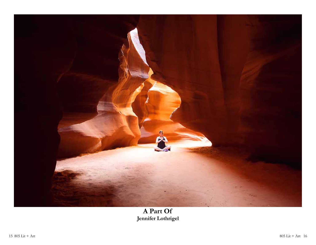

#### **A Part Of Jennifer Lothrigel**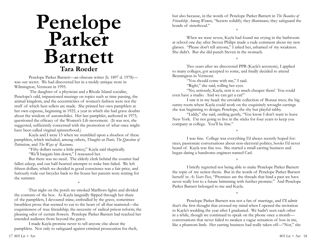## **Penelope Parker Barnett Tara Roeder**

Penelope Parker Barnett—an obscure writer (b. 1897 d. 1978) was our secret. We had discovered her in a moldy antique store in Wilmington, Vermont in 1995.

 The daughter of a physician and a Rhode Island socialite, Penelope's odd, impassioned musings on topics such as time passing, the animal kingdom, and the eccentricities of women's fashion were not the stuff of which best sellers are made. She printed her own pamphlets at her own expense, beginning in 1925, a year in which she had grave doubts about the wisdom of automobiles. Her last pamphlet, authored in 1975, questioned the efficacy of the Women's Lib movement. (It was not, she suggested, sufficiently concerned with the promotion of what once might have been called virginal spinsterhood.)

Kayla and I were 15 when we stumbled upon a shoebox of these pamphlets, which included, among others, *Thoughts on Pants, The Question of Patriotism*, and *The Ways of Raccoons*.

"Fifty dollars seems a little pricey," Kayla said skeptically.

"We'll bargain him down," I reassured her.

But there was no need. The elderly clerk behind the counter had fallen asleep, and our half-hearted attempts to wake him failed. We left fifteen dollars, which we decided in good conscience was a fair price, and furiously rode our bicycles back to the house her parents were renting for the summer.

\*

That night on the porch we smoked Marlboro lights and divided the contents of the box. As Kayla languidly flipped through her share of the pamphlets, I devoured mine, enthralled by the grave, sometimes breathless prose that seemed to cut to the heart of all that mattered—the exquisiteness of true friendship; the necessity of radical prison reform; the pleasing odor of certain flowers. Penelope Parker Barnett had reached her intended audience from beyond the grave.

I made Kayla promise never to tell anyone else about the pamphlets. Not only to safeguard against criminal prosecution for theft, but also because, in the words of Penelope Parker Barnett in *The Beauties of Friendship Among Women*, "Secrets solidify; they illuminate; they safeguard the bonds of sisterhood." \*

When we were seven, Kayla had found me crying in the bathroom at school one day after Steven Philips made a rude comment about my new glasses. "Please don't tell anyone," I asked her, ashamed of my weakness. She didn't. But she did punch Steven in the stomach.

\*

Two years after we discovered PPB (Kayla's acronym), I applied to many colleges, got accepted to some, and finally decided to attend Bennington in Vermont.

"You should come with me," I said.

"Right," she said, rolling her eyes.

"No, seriously, Kayla, rent is so much cheaper there! You could even have a studio. And we can get a cat!"

I saw it in my head: the enviable collection of Bonsai trees; the big sunny room where Kayla could work on the exquisitely wrought earrings she was beginning to design; Penelope, the shy but playful tabby.

"Liddy," she said, smiling gently, "You know I don't want to leave New York. I'm not going to live in the sticks for four years to keep you company at college. You'll be fine."

I was fine. College was everything I'd always secretly hoped for: trees, passionate conversations about non-electoral politics, books I'd never heard of. Kayla was fine too. She started a small earring business and began dating a handsome engineer named Carl.

\*

\*

I briefly regretted not being able to make Penelope Parker Barnett the topic of my senior thesis. But in the words of Penelope Parker Barnett herself in *As Years Pass*, "Promises are the threads that bind a past we have never really lost to a future brimming with further promise." And Penelope Parker Barnett belonged to me and Kayla.

\*

Penelope Parker Barnett was not a fan of marriage, and I'll admit that's the first thought that crossed my mind when I opened the invitation to Kayla's wedding the year after I graduated. We hadn't seen each other in a while, though we continued to speak on the phone once a month conversations that never failed to awaken a vague sensation of loss in me, like a phantom limb. Her earring business had really taken off—"Not," she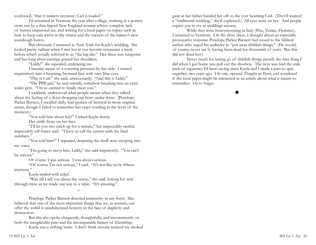confessed, "that it matters anymore; Carl is loaded."

I'd remained in Vermont the year after college, working at a pottery store run by a thin-lipped New England woman whose complete lack of humor impressed me, and writing for a local paper on topics such as how to keep cats warm in the winter and the success of the bakery's new sourdough loaves.

But obviously I returned to New York for Kayla's wedding. She looked pretty radiant when I met her at our favorite restaurant a week before what's jovially referred to as "the big day." Her dress was turquoise and her long silver earrings grazed her shoulders.

"Liddy!" she squealed, embracing me.

I became aware of a towering presence by her side. I turned inquisitively into a beaming, bronzed face with very blue eyes.

"This is Carl," she said, unnecessarily. "And this is Liddy."

"The PPB girl," he said warmly, somehow breaking into an even wider grin. "I'm so excited to finally meet you."

I suddenly understood what people meant when they talked about the feeling of a floor dropping out from under them. (Penelope Parker Barnett, I recalled dully, had spoken of betrayal in more original terms, though I failed to remember her exact wording in the fever of the moment.)

"You told him about her?" I asked Kayla slowly.

Her smile froze on her face.

"I'll let you two catch up for a minute," her impeccably tactful, impeccably tall fiancé said. "I have to call the caterer with the final numbers."

"You told him?" I repeated, despising the shrill note creeping into my voice.

"I'm going to *marry* him, Liddy," she said impatiently. "You can't be serious."

Of course I was serious. I was always serious.

"Of course I'm not serious," I said. "It's not like we're fifteen anymore."

Kayla smiled with relief.

"Wait till I tell you about the venue," she said, linking her arm through mine as we made our way to a table. "It's amazing."

\*

Penelope Parker Barnett detested insincerity in any form. She believed that one of the most important things that we, as women, can offer the world is unadulterated honesty in the face of duplicity and destruction.

But she also spoke eloquently, thoughtfully, and inconsistently on both the inexplicable pain and the incomparable beauty of friendship.

Kayla was a striking bride. I don't think anyone noticed my choked

gasp as her father handed her off to the ever beaming Carl. (They'd wanted a "traditional wedding," she'd explained.) All eyes were on her. And people expect you to cry at weddings anyway.

While they were honeymooning in Italy (Pisa, Venice, Florence), I returned to Vermont. On the drive there, I thought about an especially provocative response Penelope Parker Barnett had issued to the biblical author who urged his audience to "put away childish things." (He would, of course, never see it, having been dead for thousands of years. But this did not deter her.)

Never much for letting go of childish things myself, the first thing I did when I got home was pull out the shoebox. The next was find the stale pack of cigarettes I'd been saving since Kayla and I made a pact to quit, together, two years ago. I lit one, opened *Thoughts on Pants*, and wondered if the local paper might be interested in an article about what it means to remember. Or to forget.

 $\bullet$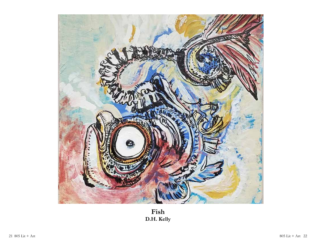

**Fish D.H. Kelly**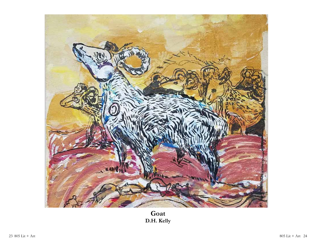

**Goat D.H. Kelly**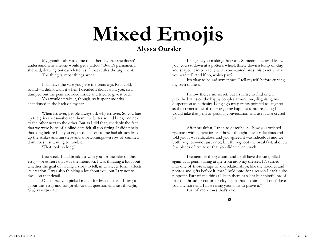# **Mixed Emojis**

#### **Alyssa Oursler**

My grandmother told me the other day that she doesn't understand why anyone would get a tattoo. "But it's permanent," she said, drawing out each letter as if that settles the argument. The thing is, most things aren't.

I still have the vase you gave me years ago. Red, cold, round—I didn't want it when I decided I didn't want you, so I dumped out the pens crowded inside and tried to give it back.

You wouldn't take it, though, so it spent months abandoned in the back of my car.

When it's over, people always ask why it's over. So you line up the grievances—shorten them into bitter sound bites, one next to the other next to the other. But as I did that, suddenly the fact that we were born of a blind date felt all too fitting. It didn't help that long before I let you go, those closest to me had already lined up the strikes and missteps and shortcomings—a row of damned dominoes just waiting to tumble.

What took so long?

Last week, I had breakfast with you for the sake of this essay—or at least that was the intention. I was thinking a lot about whether the goal of having a story to tell, in whatever form, affects its creation. I was also thinking a lot about you, but I try not to dwell on that detail.

Of course, you picked me up for breakfast and I forgot about this essay and forgot about that question and just thought, *God, we laugh a lot.*

I imagine you making that vase. Sometime before I knew you, you sat down at a potter's wheel, threw down a lump of clay, and shaped it into exactly what you wanted. Was this exactly what you wanted? And if so, which part?

It's okay to be sad sometimes, I tell myself, before cursing my own sadness.

I know there's no secret, but I still try to find one. I pick the brains of the happy couples around me, disguising my desperation as curiosity. Long ago my parents pointed to laughter as the cornerstone of their ongoing happiness, not realizing I would take that gem of passing conversation and use it as a crystal ball.

After breakfast, I tried to describe it—how you ordered rye toast with conviction and how I thought it was ridiculous and told you it was ridiculous and you agreed it was ridiculous and we both laughed—not just once, but throughout the breakfast, about a few pieces of rye toast that you didn't even touch.

I remember the rye toast and I still have the vase, filled again with pens, staring at me from atop my dresser. It's turned into one of those scraps of old relationships, like the hoodies and photos and gifts before it, that I hold onto for a reason I can't quite pinpoint. Part of me thinks I keep them as silent but spiteful proof that the thread or cotton or clay is just that—a simple "I don't love you anymore and I'm wearing your shirt to prove it."

Part of me knows that's a lie.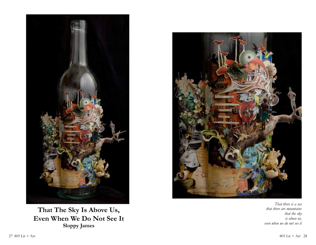

**That The Sky Is Above Us, Even When We Do Not See It Sloppy James**



*That there is a sea that there are mountains that the sky is above us, even when we do not see it*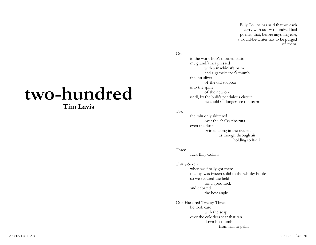Billy Collins has said that we each carry with us, two-hundred bad poems; that, before anything else, a would-be-writer has to be purged of them.

# **two-hundred**

#### **Tim Lavis**

One

in the workshop's mottled basin my grandfather pressed with a machinist's palm and a gamekeeper's thumb the last sliver of the old soapbar into the spine of the new one until, by the bulb's pendulous circuit he could no longer see the seam

#### Two

the rain only skittered over the chalky tire-ruts even the dust swirled along in the rivulets as though through air holding to itself

#### Three

fuck Billy Collins

### Thirty-Seven

when we finally got there the cap was frozen solid to the whisky bottle so we scoured the field for a good rock and debated the best angle

One-Hundred-Twenty-Three he took care with the soap over the colorless scar that ran down his thumb from nail to palm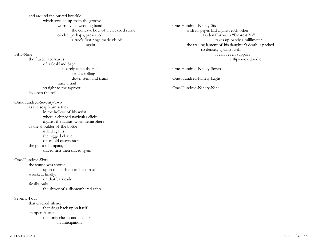and around the busted knuckle which swelled up from the groove worn by his wedding band the concave bow of a creekbed stone or else, perhaps, preserved a tree's first rings made visible again

#### Fifty-Nine

the frayed lace leaves of a Scabland Sage just barely catch the rain send it rolling down stem and trunk trace a trail straight to the taproot lay open the soil

One-Hundred-Seventy-Two as the soapfoam settles in the hollow of his wrist where a chipped navicular clicks against the radius' worn hemisphere as the shoulder of the bottle is laid against the ragged cleave of an old quarry stone the point of impact, traced first then traced again

One-Hundred-Sixty the sound was shored upon the cushion of his throat wrecked, finally, on that barricade finally, only the shiver of a dismembered echo

Seventy-Four that cracked silence that rings back upon itself an open faucet that only clunks and hiccups in anticipation

One-Hundred-Ninety-Six with its pages laid against each other Hayden Carruth's "Dearest M-" takes up barely a millimeter the trailing lament of his daughter's death is packed so densely against itself it can't even support a flip-book doodle

One-Hundred-Ninety-Seven

One-Hundred-Ninety-Eight

One-Hundred-Ninety-Nine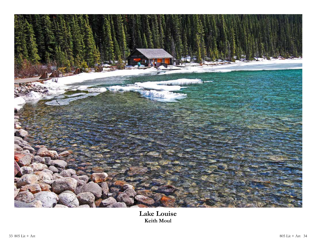

#### **Lake Louise Keith Moul**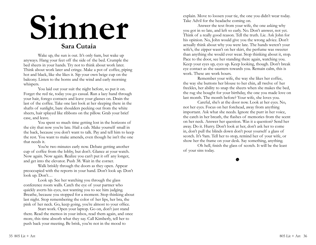# **Sinner Sara Cutaia**

Wake up, the sun is out. It's only 6am, but wake up anyways. Hang your feet off the side of the bed. Crumple the bed sheets in your hands. Try not to think about work later. Think about work later and cringe. Make a pot of coffee, piping hot and black, like she likes it. Sip your own beige cup on the balcony. Listen to the horns and the wind and early morning whispers.

You laid out your suit the night before, so put it on. Forget the red tie, today you go casual. Run a lazy hand through your hair, forego contacts and leave your glasses on. Drain the last of the coffee. Take one last look at her sleeping there in the shafts of sunlight, bare shoulders peeking out from the white sheets, hair splayed like ribbons on the pillow. Grab your brief case, and leave.

You spent so much time getting lost in the horizons of the city that now you're late. Hail a cab. Make yourself small in the back, because you don't want to talk. Pay and tell him to keep the rest. You want to make amends, even though he isn't the one that needs it.

You're two minutes early now. Debate getting another cup of coffee from the lobby, but don't. Glance at your watch. Now again. Now again. Realize you can't put it off any longer, and get into the elevator. Push 38. Wait in the corner.

Walk briskly through the doors as they open. Appear preoccupied with the reports in your hand. Don't look up. Don't look up. Don't…

Look up. See her watching you through the glass conference room walls. Catch the eye of your partner who quickly averts his eyes, not wanting you to see him judging. Breathe, because you stopped for a moment. Stop thinking about last night. Stop remembering the color of her lips, her bra, the pink of her neck. Go, keep going, you're almost to your office.

Start work. Open your laptop. Go on, don't just stand there. Read the memos in your inbox, read them again, and once more, this time absorb what they say. Call Kimberly, tell her to push back your meeting. Be brisk, you're not in the mood to

explain. Move to loosen your tie, the one you didn't wear today. Take Advil for the headache coming on.

Answer the text from your wife, the one asking why you got in so late, and left so early. No. Don't answer, not yet. Think of a really good reason. Tell the truth. Lie. Ask John for his opinion. No, John would give you the wrong advice. Don't actually think about why you were late. The hands weren't your wife's, the zipper wasn't on her skirt, the perfume was sweeter than anything she would ever wear. Stop thinking about it, stop. Pace to the door, see her standing there again, watching you. Keep your eyes up, eyes up. Keep looking, though. Don't break eye contact as she saunters towards you. Remain calm, this is work. These are work hours.

Remember your wife, the way she likes her coffee, the way she buttons her blouse to her chin, all twelve of her freckles, her ability to snap the sheets when she makes the bed, the rug she bought for your birthday, the one you made love on last month. The month before? Your wife, she loves you.

Careful, she's at the door now. Look at her eyes. No, not her eyes. Focus on her forehead, away from anything important. Ask what she needs. Ignore the purr in her voice, the catch in her breath, the flashes of memories from the scent on her neck. Answer her question. Was it a question? Send her away. Do it. Hurry. Don't look at her, don't ask her to come in, don't pull the blinds down don't pour yourself a glass of scotch. It's 9am. Tell her to stop, remind her of your wife, or show her the frame on your desk. Say something, anything.

Oh hell, finish the glass of scotch. It will be the least of your sins today.

 $\bullet$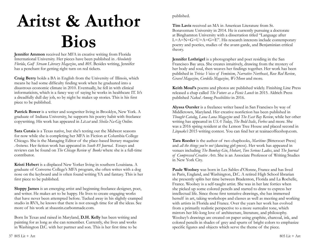# **Aritst & Author Bios**

**Jennifer Ammon** received her MFA in creative writing from Florida International University. Her pieces have been published in *Absolutely Florida*, *Gulf Stream Literary Magazine*, and *805*. Besides writing, Jennifer has a penchant for getting right turn on red tickets.

**Craig Berry** holds a BA in English from the University of Illinois, which means he had some difficulty finding work when he graduated into a disastrous economic climate in 2010. Eventually, he fell in with clinical informaticists, which is a fancy way of saying he works in healthcare IT. It's a dreadfully dull day job, so by night he makes up stories. This is his first piece to be published.

Patrick Bower is a writer and songwriter living in Brooklyn, New York. A graduate of Indiana University, he supports his poetry habit with freelance copywriting. His work has appeared in *Lit.cat* and *Sheila-Na-Gig Online*.

**Sara Cutaia** is a Texas native, but she's testing out the Midwest seasons for now while she is completing her MFA in Fiction at Columbia College Chicago. She is the Managing Editor of the place-based literary magazine *Arcturus*. Her fiction work has appeared in *South 85 Journal*. Essays and reviews can be found on *The Chicago Review of Books* where she is a full-time contributor.

**Kristi Hebert** is a displaced New Yorker living in southern Louisiana. A graduate of Converse College's MFA program, she often writes with a dog nose on the keyboard and is often found writing YA and fantasy. This is her first piece to be published.

**Sloppy James** is an emerging artist and beginning freelance designer, poet, and writer. He makes art to be happy. He lives to create engaging works that have never been attempted before. Tucked away in his slightly cramped studio in RVA, he knows that there is not enough time for all the ideas. See more of his work at sbaustin.carbonmade.com.

Born In Texas and raised in Maryland, **D.H. Kelly** has been writing and painting for as long as she can remember. Currently, she lives and works in Washington D.C. with her partner and son. This is her first time to be published.

**Tim Lavis** received an MA in American Literature from St. Bonaventure University in 2014. He is currently pursuing a doctorate at Binghamton University with a dissertation titled "Language after  $L=A=N=G=U=A=G=E$ ". His research interests include contemporary poetry and poetics, studies of the avant-garde, and Benjaminian critical theory.

**Jennifer Lothrigel** is a photographer and poet residing in the San Francisco Bay area. She creates intuitively, drawing from the mystery of her body and soul, then weaves her findings together. Her work has been published in *Trivia: Voices of Feminism*, *Narrative Northeast*, *Rose Red Review*, *Gravel Magazine*, *Cordella Magazine*, *We'Moon* and more.

**Keith Moul's** poems and photos are published widely. Finishing Line Press released a chap called *The Future as a Picnic Lunch* in 2015. Aldrich Press published *Naked Among Possibilities* in 2016.

**Alyssa Oursler** is a freelance writer based in San Francisco by way of Middletown, Maryland. Her creative nonfiction has been published in *Thought Catalog*, *Luna Luna Magazine* and *The East Bay Review*, while her other writing has appeared in *USA Today*, *The Bold Italic*, *Forbes* and more. She was a 2016 spring resident at the Lemon Tree House and placed second in *Litquake's* 2015 writing contest. You can find her at teainacoffeeshop.com.

**Tara Roeder** is the author of two chapbooks, *Maritime* (Bitterzoet Press) and *all the things you're not* (dancing girl press). Her work has appeared in venues including *The Bombay Gin*, *Hobart*, *Two Serious Ladies*, and *The Journal of Compressed Creative Arts*. She is an Associate Professor of Writing Studies in New York City.

**Paule Woolsey** was born in Les Sables d'Olonne, France and has lived in Paris, England, and Washington, D.C. A retired High School librarian she presently splits her time between Bradenton, Florida and La Rochelle, France. Woolsey is a self-taught artist. She was in her late forties when she picked up some colored pencils and started to draw to express her intellectual life. Since those first tentative drawings, she has immersed herself in art, taking workshops and classes as well as meeting and working with artists in Florida and France. Over the years her work has evolved from a primarily realistic perspective to a more surrealist tone, which mirrors her life-long love of architecture, literature, and philosophy. Woolsey's drawings are created on paper using graphite, charcoal, ink, and colored pencils in shades of grey and spurts of bright colors to emphasize specific figures and objects which serve the theme of the piece.